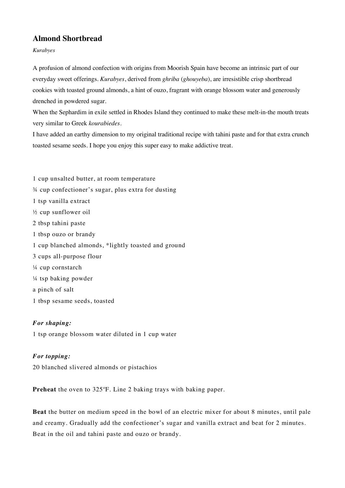## **Almond Shortbread**

*Kurabyes*

A profusion of almond confection with origins from Moorish Spain have become an intrinsic part of our everyday sweet offerings. *Kurabyes*, derived from *ghriba* (*ghouyeba*), are irresistible crisp shortbread cookies with toasted ground almonds, a hint of ouzo, fragrant with orange blossom water and generously drenched in powdered sugar.

When the Sephardim in exile settled in Rhodes Island they continued to make these melt-in-the mouth treats very similar to Greek *kourabiedes*.

I have added an earthy dimension to my original traditional recipe with tahini paste and for that extra crunch toasted sesame seeds. I hope you enjoy this super easy to make addictive treat.

1 cup unsalted butter, at room temperature ¾ cup confectioner's sugar, plus extra for dusting 1 tsp vanilla extract ½ cup sunflower oil 2 tbsp tahini paste 1 tbsp ouzo or brandy 1 cup blanched almonds, \*lightly toasted and ground 3 cups all-purpose flour ¼ cup cornstarch ¼ tsp baking powder a pinch of salt 1 tbsp sesame seeds, toasted

*For shaping:*

1 tsp orange blossom water diluted in 1 cup water

## *For topping:*

20 blanched slivered almonds or pistachios

**Preheat** the oven to 325ºF. Line 2 baking trays with baking paper.

**Beat** the butter on medium speed in the bowl of an electric mixer for about 8 minutes, until pale and creamy. Gradually add the confectioner's sugar and vanilla extract and beat for 2 minutes. Beat in the oil and tahini paste and ouzo or brandy.